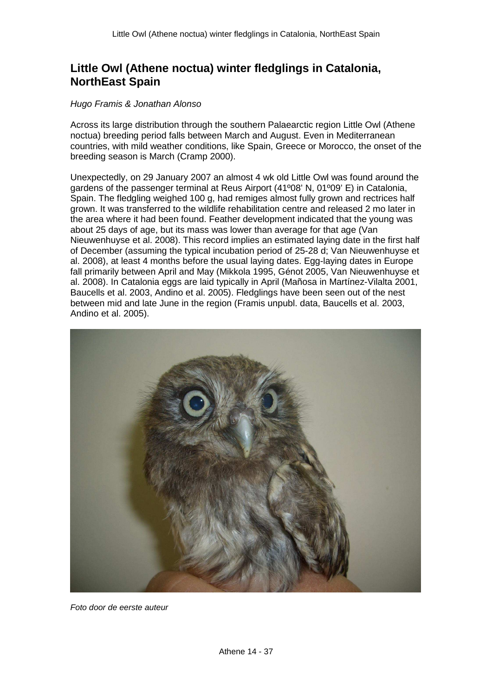# **Little Owl (Athene noctua) winter fledglings in Catalonia, NorthEast Spain**

## Hugo Framis & Jonathan Alonso

Across its large distribution through the southern Palaearctic region Little Owl (Athene noctua) breeding period falls between March and August. Even in Mediterranean countries, with mild weather conditions, like Spain, Greece or Morocco, the onset of the breeding season is March (Cramp 2000).

Unexpectedly, on 29 January 2007 an almost 4 wk old Little Owl was found around the gardens of the passenger terminal at Reus Airport (41º08' N, 01º09' E) in Catalonia, Spain. The fledgling weighed 100 g, had remiges almost fully grown and rectrices half grown. It was transferred to the wildlife rehabilitation centre and released 2 mo later in the area where it had been found. Feather development indicated that the young was about 25 days of age, but its mass was lower than average for that age (Van Nieuwenhuyse et al. 2008). This record implies an estimated laying date in the first half of December (assuming the typical incubation period of 25-28 d; Van Nieuwenhuyse et al. 2008), at least 4 months before the usual laying dates. Egg-laying dates in Europe fall primarily between April and May (Mikkola 1995, Génot 2005, Van Nieuwenhuyse et al. 2008). In Catalonia eggs are laid typically in April (Mañosa in Martínez-Vilalta 2001, Baucells et al. 2003, Andino et al. 2005). Fledglings have been seen out of the nest between mid and late June in the region (Framis unpubl. data, Baucells et al. 2003, Andino et al. 2005).



Foto door de eerste auteur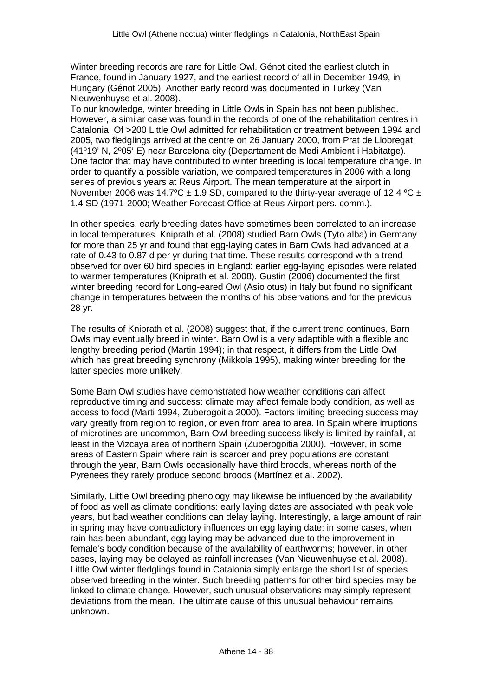Winter breeding records are rare for Little Owl. Génot cited the earliest clutch in France, found in January 1927, and the earliest record of all in December 1949, in Hungary (Génot 2005). Another early record was documented in Turkey (Van Nieuwenhuyse et al. 2008).

To our knowledge, winter breeding in Little Owls in Spain has not been published. However, a similar case was found in the records of one of the rehabilitation centres in Catalonia. Of >200 Little Owl admitted for rehabilitation or treatment between 1994 and 2005, two fledglings arrived at the centre on 26 January 2000, from Prat de Llobregat (41º19' N, 2º05' E) near Barcelona city (Departament de Medi Ambient i Habitatge). One factor that may have contributed to winter breeding is local temperature change. In order to quantify a possible variation, we compared temperatures in 2006 with a long series of previous years at Reus Airport. The mean temperature at the airport in November 2006 was 14.7°C  $\pm$  1.9 SD, compared to the thirty-vear average of 12.4 °C  $\pm$ 1.4 SD (1971-2000; Weather Forecast Office at Reus Airport pers. comm.).

In other species, early breeding dates have sometimes been correlated to an increase in local temperatures. Kniprath et al. (2008) studied Barn Owls (Tyto alba) in Germany for more than 25 yr and found that egg-laying dates in Barn Owls had advanced at a rate of 0.43 to 0.87 d per yr during that time. These results correspond with a trend observed for over 60 bird species in England: earlier egg-laying episodes were related to warmer temperatures (Kniprath et al. 2008). Gustin (2006) documented the first winter breeding record for Long-eared Owl (Asio otus) in Italy but found no significant change in temperatures between the months of his observations and for the previous 28 yr.

The results of Kniprath et al. (2008) suggest that, if the current trend continues, Barn Owls may eventually breed in winter. Barn Owl is a very adaptible with a flexible and lengthy breeding period (Martin 1994); in that respect, it differs from the Little Owl which has great breeding synchrony (Mikkola 1995), making winter breeding for the latter species more unlikely.

Some Barn Owl studies have demonstrated how weather conditions can affect reproductive timing and success: climate may affect female body condition, as well as access to food (Marti 1994, Zuberogoitia 2000). Factors limiting breeding success may vary greatly from region to region, or even from area to area. In Spain where irruptions of microtines are uncommon, Barn Owl breeding success likely is limited by rainfall, at least in the Vizcaya area of northern Spain (Zuberogoitia 2000). However, in some areas of Eastern Spain where rain is scarcer and prey populations are constant through the year, Barn Owls occasionally have third broods, whereas north of the Pyrenees they rarely produce second broods (Martínez et al. 2002).

Similarly, Little Owl breeding phenology may likewise be influenced by the availability of food as well as climate conditions: early laying dates are associated with peak vole years, but bad weather conditions can delay laying. Interestingly, a large amount of rain in spring may have contradictory influences on egg laying date: in some cases, when rain has been abundant, egg laying may be advanced due to the improvement in female's body condition because of the availability of earthworms; however, in other cases, laying may be delayed as rainfall increases (Van Nieuwenhuyse et al. 2008). Little Owl winter fledglings found in Catalonia simply enlarge the short list of species observed breeding in the winter. Such breeding patterns for other bird species may be linked to climate change. However, such unusual observations may simply represent deviations from the mean. The ultimate cause of this unusual behaviour remains unknown.